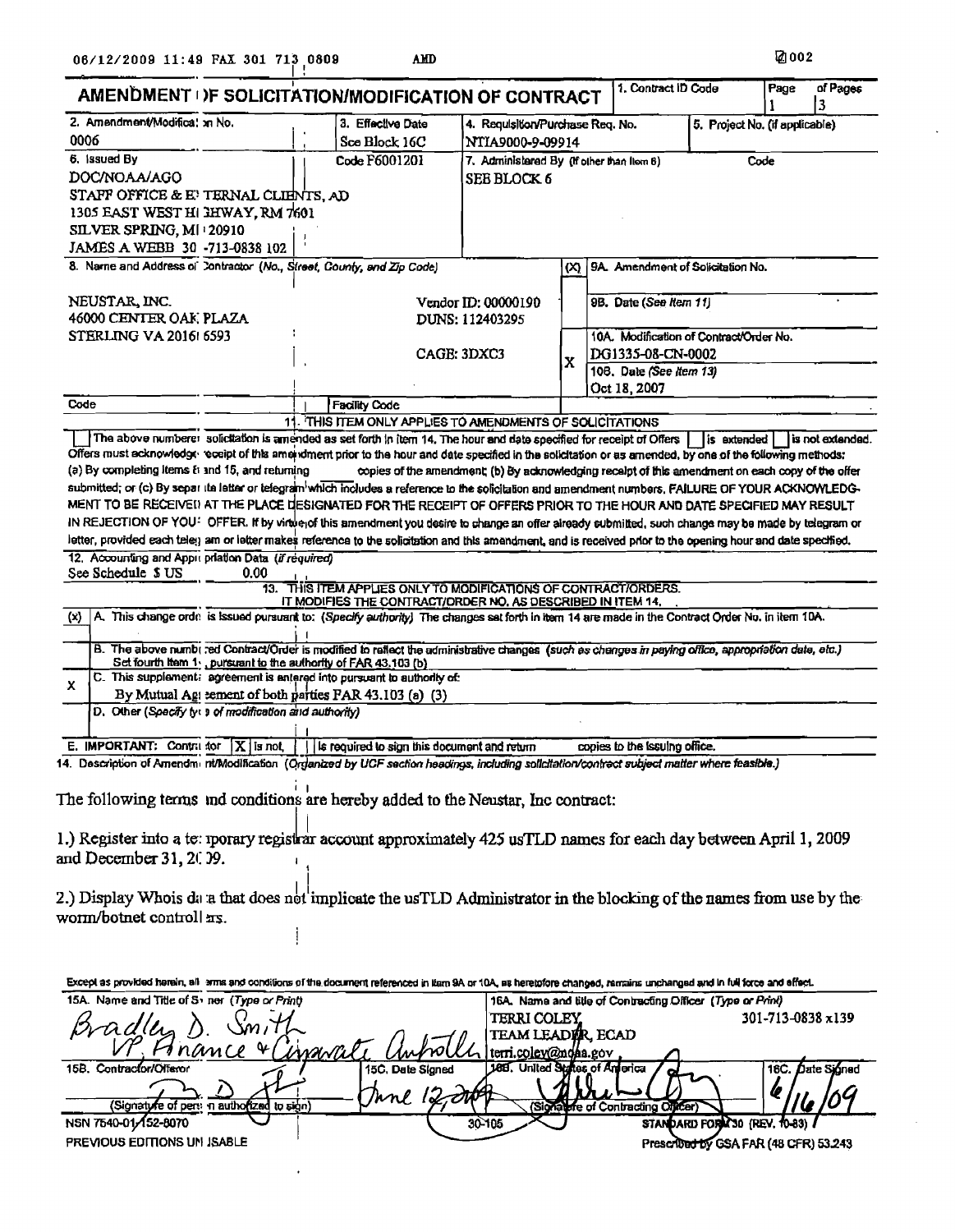$\ddot{\phantom{a}}$ 

|                                                       |      | AMENDMENT DF SOLICITATION/MODIFICATION OF CONTRACT                                                                                                                      |                                                                                                   |                                                   |                                                            |                                         |                   | 3                |
|-------------------------------------------------------|------|-------------------------------------------------------------------------------------------------------------------------------------------------------------------------|---------------------------------------------------------------------------------------------------|---------------------------------------------------|------------------------------------------------------------|-----------------------------------------|-------------------|------------------|
| 2. Amendment/Modifica: xn No.                         |      | 3. Effective Date                                                                                                                                                       | 4. Requisition/Purchase Req. No.<br>5. Project No. (if applicable)                                |                                                   |                                                            |                                         |                   |                  |
| 0006                                                  |      | Sce Block 16C                                                                                                                                                           |                                                                                                   | NTIA9000-9-09914                                  |                                                            |                                         |                   |                  |
| 6. Issued By                                          |      | Code F6001201                                                                                                                                                           |                                                                                                   | 7. Administered By (if other than flom 6)<br>Code |                                                            |                                         |                   |                  |
| DOC/NOAA/AGO                                          |      |                                                                                                                                                                         | <b>SEE BLOCK 6</b>                                                                                |                                                   |                                                            |                                         |                   |                  |
| STAFF OFFICE & E' TERNAL CLIENTS, AD                  |      |                                                                                                                                                                         |                                                                                                   |                                                   |                                                            |                                         |                   |                  |
| 1305 EAST WEST HI HWAY, RM 7601                       |      |                                                                                                                                                                         |                                                                                                   |                                                   |                                                            |                                         |                   |                  |
| SILVER SPRING, MI 20910                               |      |                                                                                                                                                                         |                                                                                                   |                                                   |                                                            |                                         |                   |                  |
| JAMES A WEBB 30 -713-0838 102                         |      |                                                                                                                                                                         |                                                                                                   |                                                   |                                                            |                                         |                   |                  |
|                                                       |      | 8. Name and Address of Contractor (No., Street, County, and Zip Code)                                                                                                   |                                                                                                   | (x)                                               | 9A. Amendment of Solicitation No.                          |                                         |                   |                  |
| NEUSTAR, INC.                                         |      |                                                                                                                                                                         | Vendor ID: 00000190                                                                               |                                                   | 9B. Date (See Item 11)                                     |                                         |                   |                  |
| 46000 CENTER OAK PLAZA<br>DUNS: 112403295             |      |                                                                                                                                                                         |                                                                                                   |                                                   |                                                            |                                         |                   |                  |
| STERLING VA 2016 6593                                 |      |                                                                                                                                                                         |                                                                                                   |                                                   |                                                            | 10A. Modification of Contract/Order No. |                   |                  |
|                                                       |      |                                                                                                                                                                         | CAGE: 3DXC3                                                                                       |                                                   | DG1335-08-CN-0002<br>108. Date (See Item 13)               |                                         |                   |                  |
|                                                       |      |                                                                                                                                                                         |                                                                                                   | $\mathbf x$                                       |                                                            |                                         |                   |                  |
|                                                       |      |                                                                                                                                                                         |                                                                                                   |                                                   | Oct 18, 2007                                               |                                         |                   |                  |
| Code                                                  |      | <b>Facility Code</b>                                                                                                                                                    |                                                                                                   |                                                   |                                                            |                                         |                   |                  |
|                                                       |      | 11. THIS ITEM ONLY APPLIES TO AMENDMENTS OF SOLICITATIONS                                                                                                               |                                                                                                   |                                                   |                                                            |                                         |                   |                  |
|                                                       |      | The above numbere: solicitation is amended as set forth in item 14. The hour and date specified for receipt of Offers                                                   |                                                                                                   |                                                   |                                                            | lis extended l                          |                   | is not extended. |
|                                                       |      | Offers must acknowledge eccipt of this amendment prior to the hour and date specified in the solicitation or as amended, by one of the following methods:               |                                                                                                   |                                                   |                                                            |                                         |                   |                  |
| (a) By completing items to and 15, and returning      |      |                                                                                                                                                                         | copies of the amendment; (b) By acknowledging receipt of this amendment on each copy of the offer |                                                   |                                                            |                                         |                   |                  |
|                                                       |      | submitted; or (c) By separ its letter or telegram which includes a reference to the solicitation and amendment numbers. FAILURE OF YOUR ACKNOWLEDG-                     |                                                                                                   |                                                   |                                                            |                                         |                   |                  |
|                                                       |      | MENT TO BE RECEIVED AT THE PLACE DESIGNATED FOR THE RECEIPT OF OFFERS PRIOR TO THE HOUR AND DATE SPECIFIED MAY RESULT                                                   |                                                                                                   |                                                   |                                                            |                                         |                   |                  |
|                                                       |      | IN REJECTION OF YOU! OFFER. If by virtue of this amendment you desire to change an offer already submitted, such change may be made by telegram or                      |                                                                                                   |                                                   |                                                            |                                         |                   |                  |
|                                                       |      | letter, provided each teley am or letter makes reference to the solicitation and this amendment, and is received prior to the opening hour and date specified.          |                                                                                                   |                                                   |                                                            |                                         |                   |                  |
| 12. Accounting and Appli priation Data (if required)  |      |                                                                                                                                                                         |                                                                                                   |                                                   |                                                            |                                         |                   |                  |
| See Schedule \$ US                                    | 0.00 |                                                                                                                                                                         |                                                                                                   |                                                   |                                                            |                                         |                   |                  |
|                                                       |      | 13. THIS ITEM APPLIES ONLY TO MODIFICATIONS OF CONTRACT/ORDERS.<br>IT MODIFIES THE CONTRACT/ORDER NO. AS DESCRIBED IN ITEM 14,                                          |                                                                                                   |                                                   |                                                            |                                         |                   |                  |
| (x)                                                   |      | A. This change orde is issued pursuant to: (Specify authority) The changes set forth in item 14 are made in the Contract Order No. in item 10A.                         |                                                                                                   |                                                   |                                                            |                                         |                   |                  |
|                                                       |      |                                                                                                                                                                         |                                                                                                   |                                                   |                                                            |                                         |                   |                  |
|                                                       |      | B. The above numbired Contract/Order is modified to reflect the administrative changes (such as changes in paying office, appropriation date, etc.)                     |                                                                                                   |                                                   |                                                            |                                         |                   |                  |
|                                                       |      | Set fourth from 1., pursuant to the authority of FAR 43.103 (b)                                                                                                         |                                                                                                   |                                                   |                                                            |                                         |                   |                  |
| x                                                     |      | C. This supplement: agreement is antered into pursuant to authority of:                                                                                                 |                                                                                                   |                                                   |                                                            |                                         |                   |                  |
|                                                       |      | By Mutual Ag: eement of both parties FAR 43.103 (a) (3)                                                                                                                 |                                                                                                   |                                                   |                                                            |                                         |                   |                  |
| D. Other (Specify by a of modification and authority) |      |                                                                                                                                                                         |                                                                                                   |                                                   |                                                            |                                         |                   |                  |
| E. IMPORTANT: Contri for $X$ is not                   |      | Is required to sign this document and return                                                                                                                            |                                                                                                   |                                                   | copies to the issuing office.                              |                                         |                   |                  |
|                                                       |      | 14. Description of Amenomi nt/Modification (Organized by UCF section headings, including solicitation/contract subject matter where feasible.)                          |                                                                                                   |                                                   |                                                            |                                         |                   |                  |
|                                                       |      |                                                                                                                                                                         |                                                                                                   |                                                   |                                                            |                                         |                   |                  |
|                                                       |      | The following terms and conditions are hereby added to the Neustar, Inc contract:                                                                                       |                                                                                                   |                                                   |                                                            |                                         |                   |                  |
|                                                       |      |                                                                                                                                                                         |                                                                                                   |                                                   |                                                            |                                         |                   |                  |
|                                                       |      |                                                                                                                                                                         |                                                                                                   |                                                   |                                                            |                                         |                   |                  |
|                                                       |      | 1.) Register into a te: iporary registrar account approximately 425 usTLD names for each day between April 1, 2009                                                      |                                                                                                   |                                                   |                                                            |                                         |                   |                  |
| and December 31, 2009.                                |      |                                                                                                                                                                         |                                                                                                   |                                                   |                                                            |                                         |                   |                  |
|                                                       |      |                                                                                                                                                                         |                                                                                                   |                                                   |                                                            |                                         |                   |                  |
|                                                       |      | 2.) Display Whois data that does not implicate the usTLD Administrator in the blocking of the names from use by the                                                     |                                                                                                   |                                                   |                                                            |                                         |                   |                  |
|                                                       |      |                                                                                                                                                                         |                                                                                                   |                                                   |                                                            |                                         |                   |                  |
|                                                       |      |                                                                                                                                                                         |                                                                                                   |                                                   |                                                            |                                         |                   |                  |
|                                                       |      |                                                                                                                                                                         |                                                                                                   |                                                   |                                                            |                                         |                   |                  |
|                                                       |      |                                                                                                                                                                         |                                                                                                   |                                                   |                                                            |                                         |                   |                  |
|                                                       |      |                                                                                                                                                                         |                                                                                                   |                                                   |                                                            |                                         |                   |                  |
| worm/botnet controll as.                              |      | Except as provided herein, all wire and conditions of the document referenced in Itam 9A or 10A, as heretofore changed, ramains unchanged and in full force and effect. |                                                                                                   |                                                   |                                                            |                                         |                   |                  |
| 15A. Name and Title of Somer (Type or Print)          |      |                                                                                                                                                                         |                                                                                                   |                                                   | 16A. Name and title of Contracting Officer (Type or Print) |                                         |                   |                  |
|                                                       |      |                                                                                                                                                                         | <b>TERRI COLEY</b>                                                                                |                                                   |                                                            |                                         | 301-713-0838 x139 |                  |
|                                                       |      |                                                                                                                                                                         | TEAM LEADI R, ECAD<br>terri.c <u>oley@n</u> dáa.gov                                               |                                                   |                                                            |                                         |                   |                  |

| ישטועטאטועראיש וישט<br>(Signature of<br>`per: n authorizad<br>to sion | iuu, Dalc algiicu<br>'nni<br>7Sio7 | -----<br>--<br>Contracting Officer)   | 100. Dali oka 18 |  |
|-----------------------------------------------------------------------|------------------------------------|---------------------------------------|------------------|--|
| NSN 7540-01-152-8070                                                  | 30-105                             | STANDARD FORM 30 (REV, 10-83)         |                  |  |
| PREVIOUS EDITIONS UN ISABLE                                           |                                    | Prescribed by GSA FAR (48 CFR) 53.243 |                  |  |

 $\ddot{\phantom{1}}$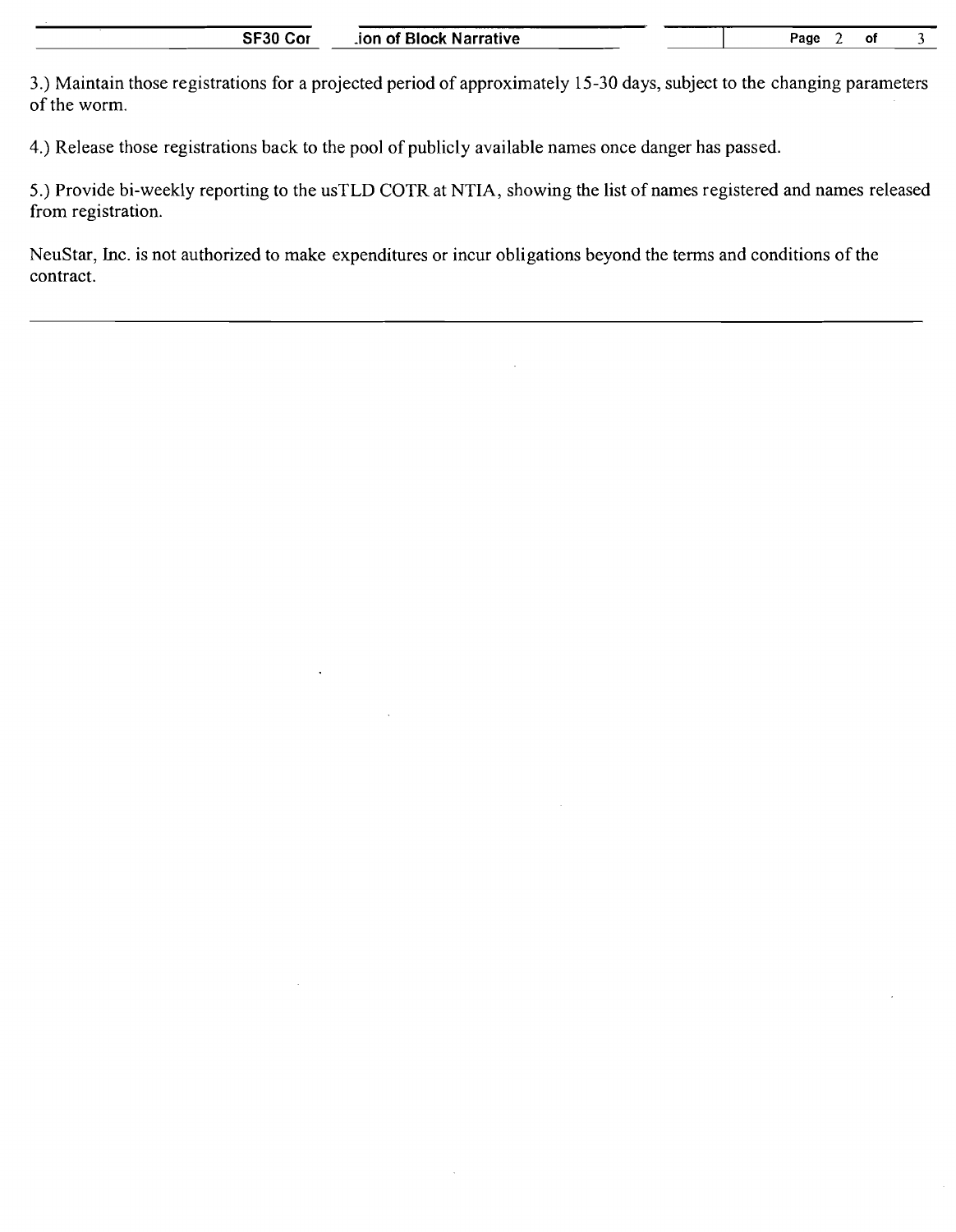3.) Maintain those registrations for a projected period of approximately 15-30 days, subject to the changing parameters of the worm.

4.) Release those registrations back to the pool of publicly available names once danger has passed.

5.) Provide bi-weekly reporting to the usTLD COTR at NTIA, showing the list of names registered and names released from registration.

NeuStar, Inc. is not authorized to make expenditures or incur obligations beyond the terms and conditions of the contract.